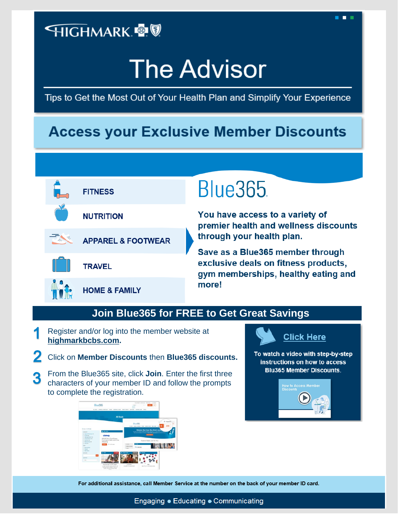## **HIGHMARK ®®**

# **The Advisor**

Tips to Get the Most Out of Your Health Plan and Simplify Your Experience

## **Access your Exclusive Member Discounts**



## **Blue365**

You have access to a variety of premier health and wellness discounts through your health plan.

. . .

Save as a Blue365 member through<br>exclusive deals on fitness products, gym memberships, healthy eating and more!

#### **Join Blue365 for FREE to Get Great Savings**

- Register and/or log into the member website at **[highmarkbcbs.com.](http://www.highmarkbcbs.com/)**
- Click on **Member Discounts** then **Blue365 discounts.**
- From the Blue365 site, click **Join**. Enter the first three 3 characters of your member ID and follow the prompts to complete the registration.



### **Click Here**

To watch a video with step-by-step instructions on how to access **Blu365 Member Discounts.** 



For additional assistance, call Member Service at the number on the back of your member ID card.